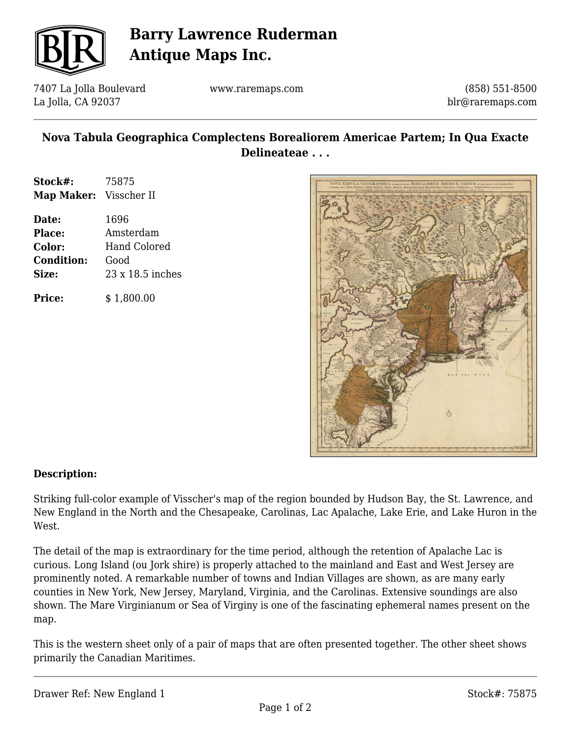

# **Barry Lawrence Ruderman Antique Maps Inc.**

7407 La Jolla Boulevard La Jolla, CA 92037

www.raremaps.com

(858) 551-8500 blr@raremaps.com

### **Nova Tabula Geographica Complectens Borealiorem Americae Partem; In Qua Exacte Delineateae . . .**

- **Stock#:** 75875 **Map Maker:** Visscher II
- **Date:** 1696 **Place:** Amsterdam **Color:** Hand Colored **Condition:** Good **Size:** 23 x 18.5 inches

**Price:**  $$ 1,800.00$ 



#### **Description:**

Striking full-color example of Visscher's map of the region bounded by Hudson Bay, the St. Lawrence, and New England in the North and the Chesapeake, Carolinas, Lac Apalache, Lake Erie, and Lake Huron in the West.

The detail of the map is extraordinary for the time period, although the retention of Apalache Lac is curious. Long Island (ou Jork shire) is properly attached to the mainland and East and West Jersey are prominently noted. A remarkable number of towns and Indian Villages are shown, as are many early counties in New York, New Jersey, Maryland, Virginia, and the Carolinas. Extensive soundings are also shown. The Mare Virginianum or Sea of Virginy is one of the fascinating ephemeral names present on the map.

This is the western sheet only of a pair of maps that are often presented together. The other sheet shows primarily the Canadian Maritimes.